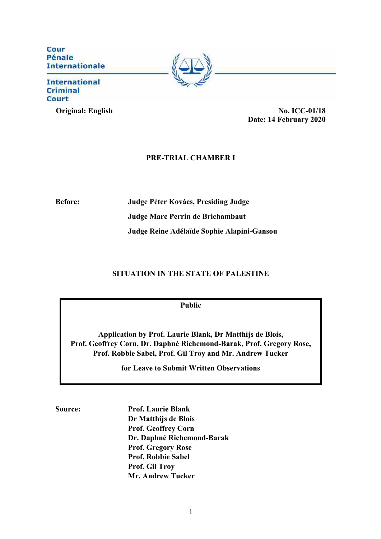Cour Pénale **Internationale** 

## **International Criminal Court**



# **PRE-TRIAL CHAMBER I**

**Before: Judge Péter Kovács, Presiding Judge Judge Marc Perrin de Brichambaut Judge Reine Adélaïde Sophie Alapini-Gansou**

# **SITUATION IN THE STATE OF PALESTINE**

**Public**

**Application by Prof. Laurie Blank, Dr Matthijs de Blois, Prof. Geoffrey Corn, Dr. Daphné Richemond-Barak, Prof. Gregory Rose, Prof. Robbie Sabel, Prof. Gil Troy and Mr. Andrew Tucker** 

**for Leave to Submit Written Observations**

**Source: Prof. Laurie Blank Dr Matthijs de Blois Prof. Geoffrey Corn Dr. Daphné Richemond-Barak Prof. Gregory Rose Prof. Robbie Sabel Prof. Gil Troy Mr. Andrew Tucker**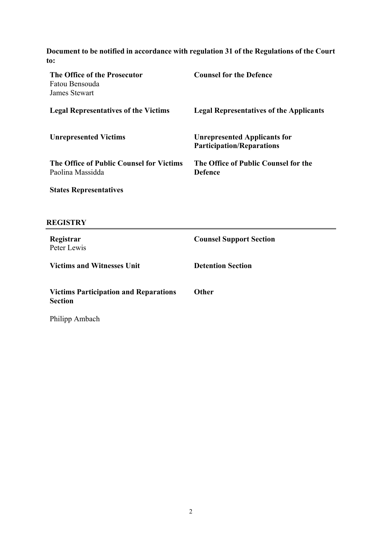**Document to be notified in accordance with regulation 31 of the Regulations of the Court to:**

| The Office of the Prosecutor<br>Fatou Bensouda<br>James Stewart | <b>Counsel for the Defence</b>                                          |
|-----------------------------------------------------------------|-------------------------------------------------------------------------|
| <b>Legal Representatives of the Victims</b>                     | <b>Legal Representatives of the Applicants</b>                          |
| <b>Unrepresented Victims</b>                                    | <b>Unrepresented Applicants for</b><br><b>Participation/Reparations</b> |
| The Office of Public Counsel for Victims<br>Paolina Massidda    | The Office of Public Counsel for the<br><b>Defence</b>                  |
| <b>States Representatives</b>                                   |                                                                         |

# **REGISTRY**

| Registrar<br>Peter Lewis                                       | <b>Counsel Support Section</b> |
|----------------------------------------------------------------|--------------------------------|
| <b>Victims and Witnesses Unit</b>                              | <b>Detention Section</b>       |
| <b>Victims Participation and Reparations</b><br><b>Section</b> | <b>Other</b>                   |
| Philipp Ambach                                                 |                                |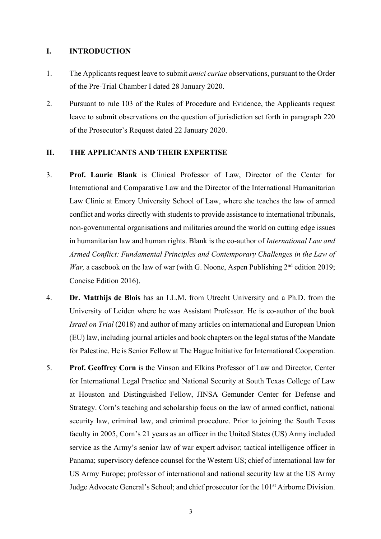## **I. INTRODUCTION**

- 1. The Applicants request leave to submit *amici curiae* observations, pursuant to the Order of the Pre-Trial Chamber I dated 28 January 2020.
- 2. Pursuant to rule 103 of the Rules of Procedure and Evidence, the Applicants request leave to submit observations on the question of jurisdiction set forth in paragraph 220 of the Prosecutor's Request dated 22 January 2020.

# **II. THE APPLICANTS AND THEIR EXPERTISE**

- 3. **Prof. Laurie Blank** is Clinical Professor of Law, Director of the Center for International and Comparative Law and the Director of the International Humanitarian Law Clinic at Emory University School of Law, where she teaches the law of armed conflict and works directly with students to provide assistance to international tribunals, non-governmental organisations and militaries around the world on cutting edge issues in humanitarian law and human rights. Blank is the co-author of *International Law and Armed Conflict: Fundamental Principles and Contemporary Challenges in the Law of War*, a casebook on the law of war (with G. Noone, Aspen Publishing 2<sup>nd</sup> edition 2019; Concise Edition 2016).
- 4. **Dr. Matthijs de Blois** has an LL.M. from Utrecht University and a Ph.D. from the University of Leiden where he was Assistant Professor. He is co-author of the book *Israel on Trial* (2018) and author of many articles on international and European Union (EU) law, including journal articles and book chapters on the legal status of the Mandate for Palestine. He is Senior Fellow at The Hague Initiative for International Cooperation.
- 5. **Prof. Geoffrey Corn** is the Vinson and Elkins Professor of Law and Director, Center for International Legal Practice and National Security at South Texas College of Law at Houston and Distinguished Fellow, JINSA Gemunder Center for Defense and Strategy. Corn's teaching and scholarship focus on the law of armed conflict, national security law, criminal law, and criminal procedure. Prior to joining the South Texas faculty in 2005, Corn's 21 years as an officer in the United States (US) Army included service as the Army's senior law of war expert advisor; tactical intelligence officer in Panama; supervisory defence counsel for the Western US; chief of international law for US Army Europe; professor of international and national security law at the US Army Judge Advocate General's School; and chief prosecutor for the 101st Airborne Division.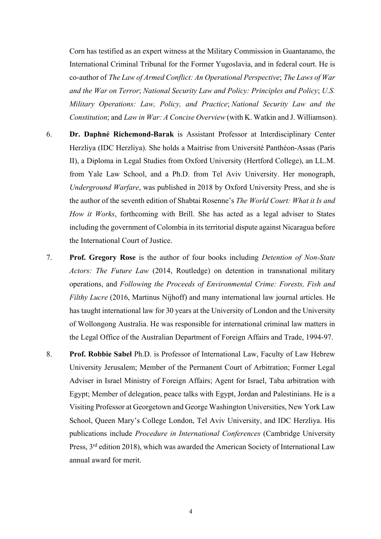Corn has testified as an expert witness at the Military Commission in Guantanamo, the International Criminal Tribunal for the Former Yugoslavia, and in federal court. He is co-author of *The Law of Armed Conflict: An Operational Perspective*; *The Laws of War and the War on Terror*; *National Security Law and Policy: Principles and Policy*; *U.S. Military Operations: Law, Policy, and Practice*; *National Security Law and the Constitution*; and *Law in War: A Concise Overview* (with K. Watkin and J. Williamson).

- 6. **Dr. Daphné Richemond-Barak** is Assistant Professor at Interdisciplinary Center Herzliya (IDC Herzliya). She holds a Maitrise from Université Panthéon-Assas (Paris II), a Diploma in Legal Studies from Oxford University (Hertford College), an LL.M. from Yale Law School, and a Ph.D. from Tel Aviv University. Her monograph, *Underground Warfare*, was published in 2018 by Oxford University Press, and she is the author of the seventh edition of Shabtai Rosenne's *The World Court: What it Is and How it Works*, forthcoming with Brill. She has acted as a legal adviser to States including the government of Colombia in its territorial dispute against Nicaragua before the International Court of Justice.
- 7. **Prof. Gregory Rose** is the author of four books including *Detention of Non-State Actors: The Future Law* (2014, Routledge) on detention in transnational military operations, and *Following the Proceeds of Environmental Crime: Forests, Fish and Filthy Lucre* (2016, Martinus Nijhoff) and many international law journal articles. He has taught international law for 30 years at the University of London and the University of Wollongong Australia. He was responsible for international criminal law matters in the Legal Office of the Australian Department of Foreign Affairs and Trade, 1994-97.
- 8. **Prof. Robbie Sabel** Ph.D. is Professor of International Law, Faculty of Law Hebrew University Jerusalem; Member of the Permanent Court of Arbitration; Former Legal Adviser in Israel Ministry of Foreign Affairs; Agent for Israel, Taba arbitration with Egypt; Member of delegation, peace talks with Egypt, Jordan and Palestinians. He is a Visiting Professor at Georgetown and George Washington Universities, New York Law School, Queen Mary's College London, Tel Aviv University, and IDC Herzliya. His publications include *Procedure in International Conferences* (Cambridge University Press, 3<sup>rd</sup> edition 2018), which was awarded the American Society of International Law annual award for merit.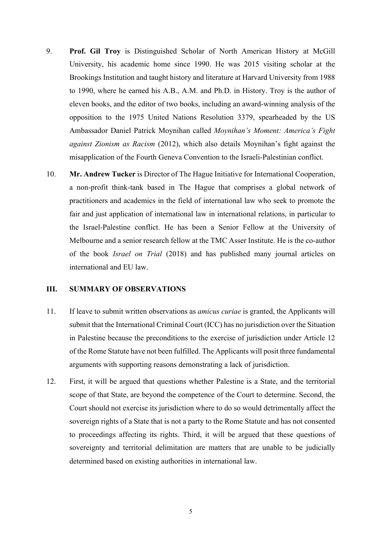- 9. **Prof. Gil Troy** is Distinguished Scholar of North American History at McGill University, his academic home since 1990. He was 2015 visiting scholar at the Brookings Institution and taught history and literature at Harvard University from 1988 to 1990, where he earned his A.B., A.M. and Ph.D. in History. Troy is the author of eleven books, and the editor of two books, including an award-winning analysis of the opposition to the 1975 United Nations Resolution 3379, spearheaded by the US Ambassador Daniel Patrick Moynihan called *Moynihan's Moment: America's Fight against Zionism as Racism* (2012), which also details Moynihan's fight against the misapplication of the Fourth Geneva Convention to the Israeli-Palestinian conflict.
- 10. **Mr. Andrew Tucker** is Director of The Hague Initiative for International Cooperation, a non-profit think-tank based in The Hague that comprises a global network of practitioners and academics in the field of international law who seek to promote the fair and just application of international law in international relations, in particular to the Israel-Palestine conflict. He has been a Senior Fellow at the University of Melbourne and a senior research fellow at the TMC Asser Institute. He is the co-author of the book *Israel on Trial* (2018) and has published many journal articles on international and EU law.

#### **III. SUMMARY OF OBSERVATIONS**

- 11. If leave to submit written observations as *amicus curiae* is granted, the Applicants will submit that the International Criminal Court (ICC) has no jurisdiction over the Situation in Palestine because the preconditions to the exercise of jurisdiction under Article 12 of the Rome Statute have not been fulfilled. The Applicants will posit three fundamental arguments with supporting reasons demonstrating a lack of jurisdiction.
- 12. First, it will be argued that questions whether Palestine is a State, and the territorial scope of that State, are beyond the competence of the Court to determine. Second, the Court should not exercise its jurisdiction where to do so would detrimentally affect the sovereign rights of a State that is not a party to the Rome Statute and has not consented to proceedings affecting its rights. Third, it will be argued that these questions of sovereignty and territorial delimitation are matters that are unable to be judicially determined based on existing authorities in international law.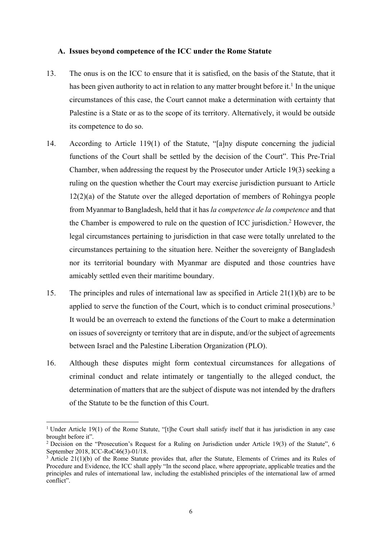#### **A. Issues beyond competence of the ICC under the Rome Statute**

- 13. The onus is on the ICC to ensure that it is satisfied, on the basis of the Statute, that it has been given authority to act in relation to any matter brought before it.<sup>1</sup> In the unique circumstances of this case, the Court cannot make a determination with certainty that Palestine is a State or as to the scope of its territory. Alternatively, it would be outside its competence to do so.
- 14. According to Article 119(1) of the Statute, "[a]ny dispute concerning the judicial functions of the Court shall be settled by the decision of the Court". This Pre-Trial Chamber, when addressing the request by the Prosecutor under Article 19(3) seeking a ruling on the question whether the Court may exercise jurisdiction pursuant to Article 12(2)(a) of the Statute over the alleged deportation of members of Rohingya people from Myanmar to Bangladesh, held that it has *la competence de la competence* and that the Chamber is empowered to rule on the question of ICC jurisdiction. <sup>2</sup> However, the legal circumstances pertaining to jurisdiction in that case were totally unrelated to the circumstances pertaining to the situation here. Neither the sovereignty of Bangladesh nor its territorial boundary with Myanmar are disputed and those countries have amicably settled even their maritime boundary.
- 15. The principles and rules of international law as specified in Article 21(1)(b) are to be applied to serve the function of the Court, which is to conduct criminal prosecutions.<sup>3</sup> It would be an overreach to extend the functions of the Court to make a determination on issues of sovereignty or territory that are in dispute, and/or the subject of agreements between Israel and the Palestine Liberation Organization (PLO).
- 16. Although these disputes might form contextual circumstances for allegations of criminal conduct and relate intimately or tangentially to the alleged conduct, the determination of matters that are the subject of dispute was not intended by the drafters of the Statute to be the function of this Court.

<sup>&</sup>lt;sup>1</sup> Under Article 19(1) of the Rome Statute, "[t]he Court shall satisfy itself that it has jurisdiction in any case brought before it".

<sup>&</sup>lt;sup>2</sup> Decision on the "Prosecution's Request for a Ruling on Jurisdiction under Article 19(3) of the Statute", 6 September 2018, ICC-RoC46(3)-01/18.

 $3$  Article 21(1)(b) of the Rome Statute provides that, after the Statute, Elements of Crimes and its Rules of Procedure and Evidence, the ICC shall apply "In the second place, where appropriate, applicable treaties and the principles and rules of international law, including the established principles of the international law of armed conflict".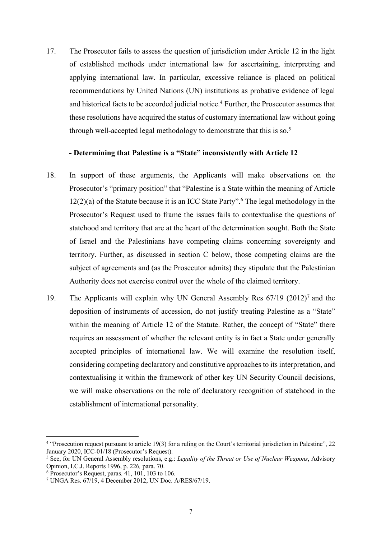17. The Prosecutor fails to assess the question of jurisdiction under Article 12 in the light of established methods under international law for ascertaining, interpreting and applying international law. In particular, excessive reliance is placed on political recommendations by United Nations (UN) institutions as probative evidence of legal and historical facts to be accorded judicial notice.<sup>4</sup> Further, the Prosecutor assumes that these resolutions have acquired the status of customary international law without going through well-accepted legal methodology to demonstrate that this is so.<sup>5</sup>

## **- Determining that Palestine is a "State" inconsistently with Article 12**

- 18. In support of these arguments, the Applicants will make observations on the Prosecutor's "primary position" that "Palestine is a State within the meaning of Article 12(2)(a) of the Statute because it is an ICC State Party". <sup>6</sup> The legal methodology in the Prosecutor's Request used to frame the issues fails to contextualise the questions of statehood and territory that are at the heart of the determination sought. Both the State of Israel and the Palestinians have competing claims concerning sovereignty and territory. Further, as discussed in section C below, those competing claims are the subject of agreements and (as the Prosecutor admits) they stipulate that the Palestinian Authority does not exercise control over the whole of the claimed territory.
- 19. The Applicants will explain why UN General Assembly Res 67/19 (2012)7 and the deposition of instruments of accession, do not justify treating Palestine as a "State" within the meaning of Article 12 of the Statute. Rather, the concept of "State" there requires an assessment of whether the relevant entity is in fact a State under generally accepted principles of international law. We will examine the resolution itself, considering competing declaratory and constitutive approaches to its interpretation, and contextualising it within the framework of other key UN Security Council decisions, we will make observations on the role of declaratory recognition of statehood in the establishment of international personality.

<sup>4</sup> "Prosecution request pursuant to article 19(3) for a ruling on the Court's territorial jurisdiction in Palestine", 22 January 2020, ICC-01/18 (Prosecutor's Request).

<sup>5</sup> See, for UN General Assembly resolutions, e.g.: *Legality of the Threat or Use of Nuclear Weapons*, Advisory Opinion, I.C.J. Reports 1996, p. 226*,* para. 70.

 $6$  Prosecutor's Request, paras. 41, 101, 103 to 106.

<sup>7</sup> UNGA Res. 67/19, 4 December 2012, UN Doc. A/RES/67/19.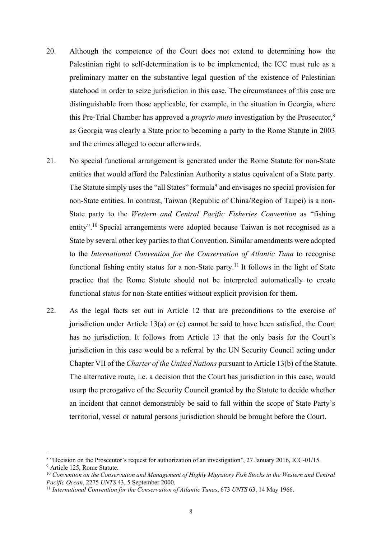- 20. Although the competence of the Court does not extend to determining how the Palestinian right to self-determination is to be implemented, the ICC must rule as a preliminary matter on the substantive legal question of the existence of Palestinian statehood in order to seize jurisdiction in this case. The circumstances of this case are distinguishable from those applicable, for example, in the situation in Georgia, where this Pre-Trial Chamber has approved a *proprio muto* investigation by the Prosecutor,8 as Georgia was clearly a State prior to becoming a party to the Rome Statute in 2003 and the crimes alleged to occur afterwards.
- 21. No special functional arrangement is generated under the Rome Statute for non-State entities that would afford the Palestinian Authority a status equivalent of a State party. The Statute simply uses the "all States" formula<sup>9</sup> and envisages no special provision for non-State entities. In contrast, Taiwan (Republic of China/Region of Taipei) is a non-State party to the *Western and Central Pacific Fisheries Convention* as "fishing entity".<sup>10</sup> Special arrangements were adopted because Taiwan is not recognised as a State by several other key parties to that Convention. Similar amendments were adopted to the *International Convention for the Conservation of Atlantic Tuna* to recognise functional fishing entity status for a non-State party.<sup>11</sup> It follows in the light of State practice that the Rome Statute should not be interpreted automatically to create functional status for non-State entities without explicit provision for them.
- 22. As the legal facts set out in Article 12 that are preconditions to the exercise of jurisdiction under Article 13(a) or (c) cannot be said to have been satisfied, the Court has no jurisdiction. It follows from Article 13 that the only basis for the Court's jurisdiction in this case would be a referral by the UN Security Council acting under Chapter VII of the *Charter of the United Nations* pursuant to Article 13(b) of the Statute. The alternative route, i.e. a decision that the Court has jurisdiction in this case, would usurp the prerogative of the Security Council granted by the Statute to decide whether an incident that cannot demonstrably be said to fall within the scope of State Party's territorial, vessel or natural persons jurisdiction should be brought before the Court.

<sup>&</sup>lt;sup>8</sup> "Decision on the Prosecutor's request for authorization of an investigation", 27 January 2016, ICC-01/15.<br><sup>9</sup> Article 125, Rome Statute.<br><sup>10</sup> Convention on the Conservation and Management of Highly Migratory Fish Stoc *Pacific Ocean*, 2275 *UNTS* 43, 5 September 2000.

<sup>11</sup> *International Convention for the Conservation of Atlantic Tunas*, 673 *UNTS* 63, 14 May 1966.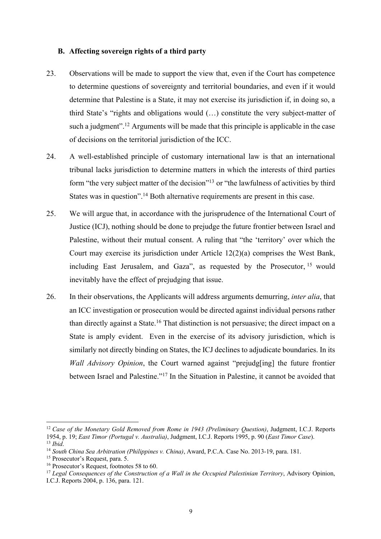### **B. Affecting sovereign rights of a third party**

- 23. Observations will be made to support the view that, even if the Court has competence to determine questions of sovereignty and territorial boundaries, and even if it would determine that Palestine is a State, it may not exercise its jurisdiction if, in doing so, a third State's "rights and obligations would (…) constitute the very subject-matter of such a judgment".<sup>12</sup> Arguments will be made that this principle is applicable in the case of decisions on the territorial jurisdiction of the ICC.
- 24. A well-established principle of customary international law is that an international tribunal lacks jurisdiction to determine matters in which the interests of third parties form "the very subject matter of the decision"<sup>13</sup> or "the lawfulness of activities by third States was in question".<sup>14</sup> Both alternative requirements are present in this case.
- 25. We will argue that, in accordance with the jurisprudence of the International Court of Justice (ICJ), nothing should be done to prejudge the future frontier between Israel and Palestine, without their mutual consent. A ruling that "the 'territory' over which the Court may exercise its jurisdiction under Article 12(2)(a) comprises the West Bank, including East Jerusalem, and Gaza", as requested by the Prosecutor, <sup>15</sup> would inevitably have the effect of prejudging that issue.
- 26. In their observations, the Applicants will address arguments demurring, *inter alia*, that an ICC investigation or prosecution would be directed against individual persons rather than directly against a State.<sup>16</sup> That distinction is not persuasive; the direct impact on a State is amply evident. Even in the exercise of its advisory jurisdiction, which is similarly not directly binding on States, the ICJ declines to adjudicate boundaries. In its *Wall Advisory Opinion*, the Court warned against "prejudg[ing] the future frontier between Israel and Palestine."17 In the Situation in Palestine, it cannot be avoided that

<sup>12</sup> *Case of the Monetary Gold Removed from Rome in 1943 (Preliminary Question)*, Judgment, I.C.J. Reports 1954, p. 19; *East Timor (Portugal v. Australia)*, Judgment, I.C.J. Reports 1995, p. 90 (*East Timor Case*).

<sup>13</sup> *Ibid*.

<sup>&</sup>lt;sup>14</sup> *South China Sea Arbitration (Philippines v. China)*, Award, P.C.A. Case No. 2013-19, para. 181.<br><sup>15</sup> Prosecutor's Request, para. 5.

 $16$  Prosecutor's Request, footnotes 58 to 60.

<sup>17</sup> *Legal Consequences of the Construction of a Wall in the Occupied Palestinian Territory*, Advisory Opinion, I.C.J. Reports 2004, p. 136, para. 121.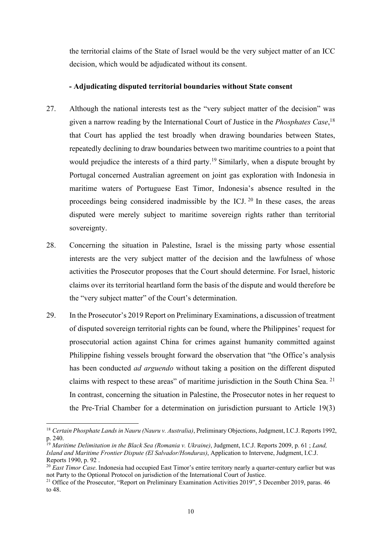the territorial claims of the State of Israel would be the very subject matter of an ICC decision, which would be adjudicated without its consent.

## **- Adjudicating disputed territorial boundaries without State consent**

- 27. Although the national interests test as the "very subject matter of the decision" was given a narrow reading by the International Court of Justice in the *Phosphates Case*, 18 that Court has applied the test broadly when drawing boundaries between States, repeatedly declining to draw boundaries between two maritime countries to a point that would prejudice the interests of a third party.<sup>19</sup> Similarly, when a dispute brought by Portugal concerned Australian agreement on joint gas exploration with Indonesia in maritime waters of Portuguese East Timor, Indonesia's absence resulted in the proceedings being considered inadmissible by the ICJ.  $20$  In these cases, the areas disputed were merely subject to maritime sovereign rights rather than territorial sovereignty.
- 28. Concerning the situation in Palestine, Israel is the missing party whose essential interests are the very subject matter of the decision and the lawfulness of whose activities the Prosecutor proposes that the Court should determine. For Israel, historic claims over its territorial heartland form the basis of the dispute and would therefore be the "very subject matter" of the Court's determination.
- 29. In the Prosecutor's 2019 Report on Preliminary Examinations, a discussion of treatment of disputed sovereign territorial rights can be found, where the Philippines' request for prosecutorial action against China for crimes against humanity committed against Philippine fishing vessels brought forward the observation that "the Office's analysis has been conducted *ad arguendo* without taking a position on the different disputed claims with respect to these areas" of maritime jurisdiction in the South China Sea. 21 In contrast, concerning the situation in Palestine, the Prosecutor notes in her request to the Pre-Trial Chamber for a determination on jurisdiction pursuant to Article 19(3)

<sup>18</sup> *Certain Phosphate Lands in Nauru (Nauru v. Australia)*, Preliminary Objections, Judgment, I.C.J. Reports 1992, p. 240.

<sup>19</sup> *Maritime Delimitation in the Black Sea (Romania v. Ukraine)*, Judgment, I.C.J. Reports 2009, p. 61 ; *Land, Island and Maritime Frontier Dispute (El Salvador/Honduras)*, Application to Intervene, Judgment, I.C.J. Reports 1990, p. 92 .

<sup>20</sup> *East Timor Case*. Indonesia had occupied East Timor's entire territory nearly a quarter-century earlier but was not Party to the Optional Protocol on jurisdiction of the International Court of Justice.

<sup>&</sup>lt;sup>21</sup> Office of the Prosecutor, "Report on Preliminary Examination Activities 2019", 5 December 2019, paras. 46 to 48.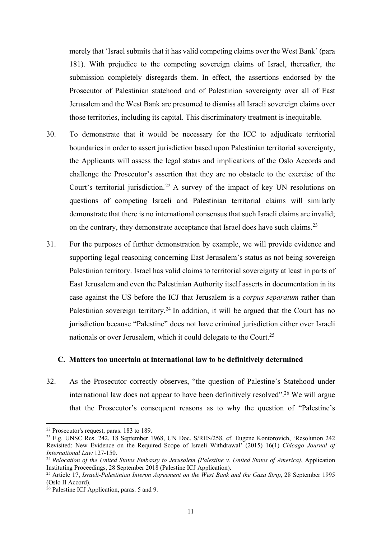merely that 'Israel submits that it has valid competing claims over the West Bank' (para 181). With prejudice to the competing sovereign claims of Israel, thereafter, the submission completely disregards them. In effect, the assertions endorsed by the Prosecutor of Palestinian statehood and of Palestinian sovereignty over all of East Jerusalem and the West Bank are presumed to dismiss all Israeli sovereign claims over those territories, including its capital. This discriminatory treatment is inequitable.

- 30. To demonstrate that it would be necessary for the ICC to adjudicate territorial boundaries in order to assert jurisdiction based upon Palestinian territorial sovereignty, the Applicants will assess the legal status and implications of the Oslo Accords and challenge the Prosecutor's assertion that they are no obstacle to the exercise of the Court's territorial jurisdiction.<sup>22</sup> A survey of the impact of key UN resolutions on questions of competing Israeli and Palestinian territorial claims will similarly demonstrate that there is no international consensus that such Israeli claims are invalid; on the contrary, they demonstrate acceptance that Israel does have such claims.<sup>23</sup>
- 31. For the purposes of further demonstration by example, we will provide evidence and supporting legal reasoning concerning East Jerusalem's status as not being sovereign Palestinian territory. Israel has valid claims to territorial sovereignty at least in parts of East Jerusalem and even the Palestinian Authority itself asserts in documentation in its case against the US before the ICJ that Jerusalem is a *corpus separatum* rather than Palestinian sovereign territory.<sup>24</sup> In addition, it will be argued that the Court has no jurisdiction because "Palestine" does not have criminal jurisdiction either over Israeli nationals or over Jerusalem, which it could delegate to the Court.25

#### **C. Matters too uncertain at international law to be definitively determined**

32. As the Prosecutor correctly observes, "the question of Palestine's Statehood under international law does not appear to have been definitively resolved".<sup>26</sup> We will argue that the Prosecutor's consequent reasons as to why the question of "Palestine's

<sup>22</sup> Prosecutor's request, paras. 183 to 189.

<sup>23</sup> E.g. UNSC Res. 242, 18 September 1968, UN Doc. S/RES/258, cf. Eugene Kontorovich, 'Resolution 242 Revisited: New Evidence on the Required Scope of Israeli Withdrawal' (2015) 16(1) *Chicago Journal of International Law* 127-150.

<sup>24</sup> *Relocation of the United States Embassy to Jerusalem (Palestine v. United States of America)*, Application Instituting Proceedings, 28 September 2018 (Palestine ICJ Application). 25 Article 17, *Israeli-Palestinian Interim Agreement on the West Bank and the Gaza Strip*, 28 September 1995

<sup>(</sup>Oslo II Accord).

 $^{26}$  Palestine ICJ Application, paras. 5 and 9.